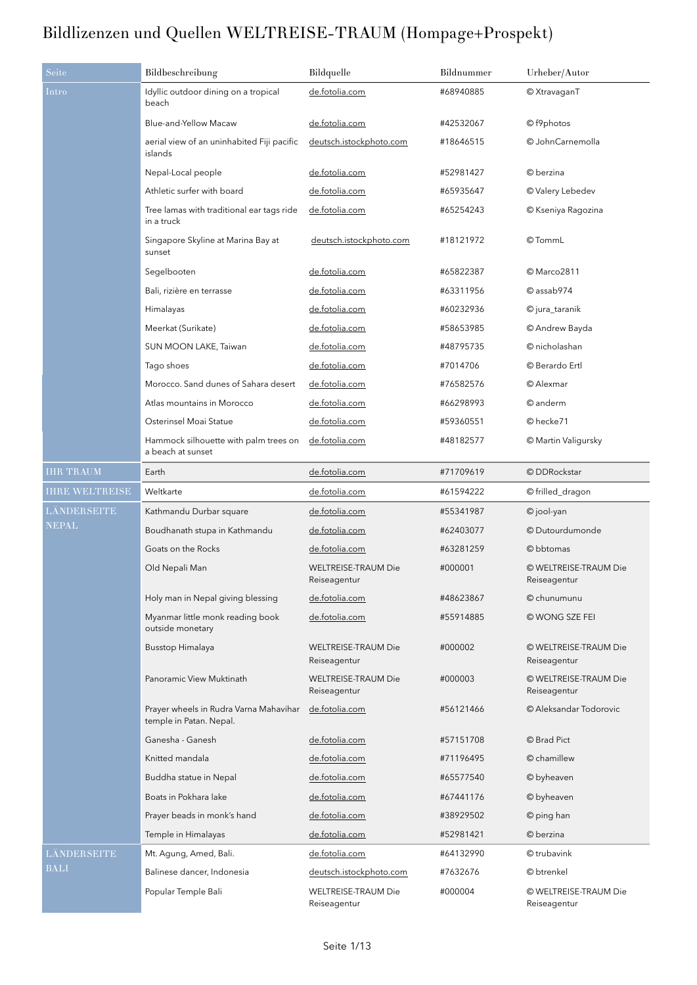| Seite                 | Bildbeschreibung                                                  | Bildquelle                                 | Bildnummer | Urheber/Autor                         |
|-----------------------|-------------------------------------------------------------------|--------------------------------------------|------------|---------------------------------------|
| Intro                 | Idyllic outdoor dining on a tropical<br>beach                     | de.fotolia.com                             | #68940885  | © XtravaganT                          |
|                       | Blue-and-Yellow Macaw                                             | de.fotolia.com                             | #42532067  | © f9photos                            |
|                       | aerial view of an uninhabited Fiji pacific<br>islands             | deutsch.istockphoto.com                    | #18646515  | © JohnCarnemolla                      |
|                       | Nepal-Local people                                                | de.fotolia.com                             | #52981427  | © berzina                             |
|                       | Athletic surfer with board                                        | de.fotolia.com                             | #65935647  | © Valery Lebedev                      |
|                       | Tree lamas with traditional ear tags ride<br>in a truck           | de.fotolia.com                             | #65254243  | © Kseniya Ragozina                    |
|                       | Singapore Skyline at Marina Bay at<br>sunset                      | deutsch.istockphoto.com                    | #18121972  | © TommL                               |
|                       | Segelbooten                                                       | de.fotolia.com                             | #65822387  | © Marco2811                           |
|                       | Bali, rizière en terrasse                                         | de.fotolia.com                             | #63311956  | © assab974                            |
|                       | Himalayas                                                         | <u>de.fotolia.com</u>                      | #60232936  | © jura_taranik                        |
|                       | Meerkat (Surikate)                                                | <u>de.fotolia.com</u>                      | #58653985  | © Andrew Bayda                        |
|                       | SUN MOON LAKE, Taiwan                                             | de.fotolia.com                             | #48795735  | © nicholashan                         |
|                       | Tago shoes                                                        | de.fotolia.com                             | #7014706   | © Berardo Ertl                        |
|                       | Morocco. Sand dunes of Sahara desert                              | de.fotolia.com                             | #76582576  | © Alexmar                             |
|                       | Atlas mountains in Morocco                                        | de.fotolia.com                             | #66298993  | © anderm                              |
|                       | Osterinsel Moai Statue                                            | de.fotolia.com                             | #59360551  | © hecke71                             |
|                       | Hammock silhouette with palm trees on<br>a beach at sunset        | de.fotolia.com                             | #48182577  | © Martin Valigursky                   |
| <b>IHR TRAUM</b>      | Earth                                                             | de.fotolia.com                             | #71709619  | © DDRockstar                          |
| <b>IHRE WELTREISE</b> | Weltkarte                                                         | de.fotolia.com                             | #61594222  | © frilled_dragon                      |
| LÄNDERSEITE           | Kathmandu Durbar square                                           | de.fotolia.com                             | #55341987  | © jool-yan                            |
| <b>NEPAL</b>          | Boudhanath stupa in Kathmandu                                     | de.fotolia.com                             | #62403077  | © Dutourdumonde                       |
|                       | Goats on the Rocks                                                | de.fotolia.com                             | #63281259  | © bbtomas                             |
|                       | Old Nepali Man                                                    | <b>WELTREISE-TRAUM Die</b><br>Reiseagentur | #000001    | © WELTREISE-TRAUM Die<br>Reiseagentur |
|                       | Holy man in Nepal giving blessing                                 | de.fotolia.com                             | #48623867  | © chunumunu                           |
|                       | Myanmar little monk reading book<br>outside monetary              | de.fotolia.com                             | #55914885  | © WONG SZE FEI                        |
|                       | Busstop Himalaya                                                  | <b>WELTREISE-TRAUM Die</b><br>Reiseagentur | #000002    | © WELTREISE-TRAUM Die<br>Reiseagentur |
|                       | Panoramic View Muktinath                                          | <b>WELTREISE-TRAUM Die</b><br>Reiseagentur | #000003    | © WELTREISE-TRAUM Die<br>Reiseagentur |
|                       | Prayer wheels in Rudra Varna Mahavihar<br>temple in Patan. Nepal. | de.fotolia.com                             | #56121466  | © Aleksandar Todorovic                |
|                       | Ganesha - Ganesh                                                  | de.fotolia.com                             | #57151708  | © Brad Pict                           |
|                       | Knitted mandala                                                   | de.fotolia.com                             | #71196495  | © chamillew                           |
|                       | Buddha statue in Nepal                                            | de.fotolia.com                             | #65577540  | © byheaven                            |
|                       | Boats in Pokhara lake                                             | de.fotolia.com                             | #67441176  | © byheaven                            |
|                       | Prayer beads in monk's hand                                       | de.fotolia.com                             | #38929502  | © ping han                            |
|                       | Temple in Himalayas                                               | de.fotolia.com                             | #52981421  | © berzina                             |
| LÄNDERSEITE           | Mt. Agung, Amed, Bali.                                            | de.fotolia.com                             | #64132990  | © trubavink                           |
| <b>BALI</b>           | Balinese dancer, Indonesia                                        | deutsch.istockphoto.com                    | #7632676   | © btrenkel                            |
|                       | Popular Temple Bali                                               | WELTREISE-TRAUM Die<br>Reiseagentur        | #000004    | © WELTREISE-TRAUM Die<br>Reiseagentur |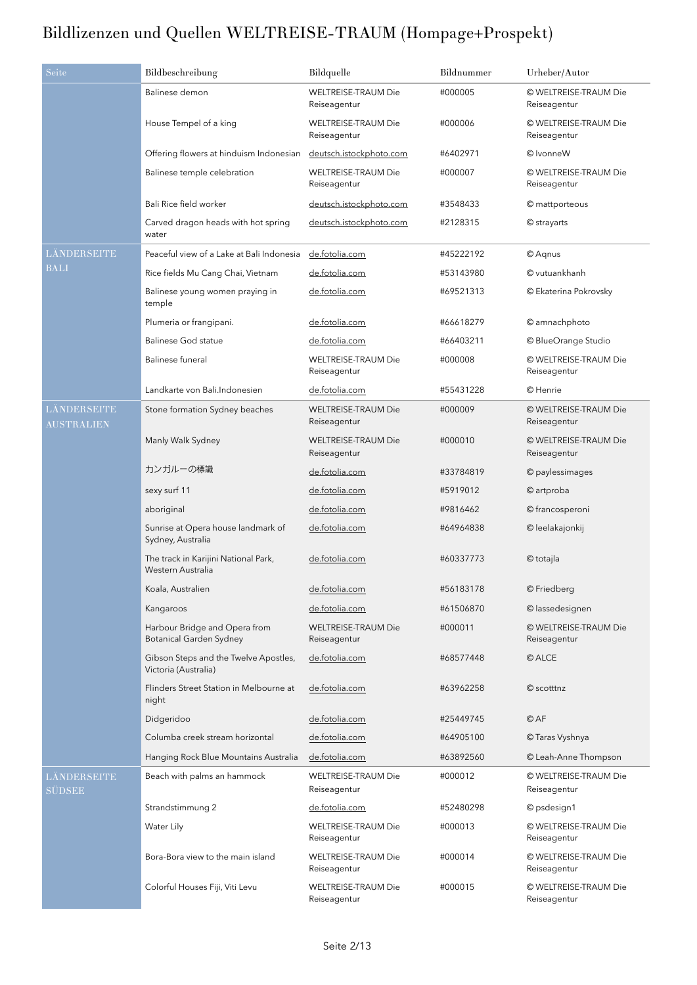| Seite                            | Bildbeschreibung                                                | Bildquelle                                 | Bildnummer | Urheber/Autor                         |
|----------------------------------|-----------------------------------------------------------------|--------------------------------------------|------------|---------------------------------------|
|                                  | Balinese demon                                                  | <b>WELTREISE-TRAUM Die</b><br>Reiseagentur | #000005    | © WELTREISE-TRAUM Die<br>Reiseagentur |
|                                  | House Tempel of a king                                          | <b>WELTREISE-TRAUM Die</b><br>Reiseagentur | #000006    | © WELTREISE-TRAUM Die<br>Reiseagentur |
|                                  | Offering flowers at hinduism Indonesian                         | deutsch.istockphoto.com                    | #6402971   | © IvonneW                             |
|                                  | Balinese temple celebration                                     | WELTREISE-TRAUM Die<br>Reiseagentur        | #000007    | © WELTREISE-TRAUM Die<br>Reiseagentur |
|                                  | Bali Rice field worker                                          | deutsch.istockphoto.com                    | #3548433   | © mattporteous                        |
|                                  | Carved dragon heads with hot spring<br>water                    | deutsch.istockphoto.com                    | #2128315   | © strayarts                           |
| LÄNDERSEITE                      | Peaceful view of a Lake at Bali Indonesia                       | de.fotolia.com                             | #45222192  | © Agnus                               |
| <b>BALI</b>                      | Rice fields Mu Cang Chai, Vietnam                               | de.fotolia.com                             | #53143980  | © vutuankhanh                         |
|                                  | Balinese young women praying in<br>temple                       | de.fotolia.com                             | #69521313  | © Ekaterina Pokrovsky                 |
|                                  | Plumeria or frangipani.                                         | de.fotolia.com                             | #66618279  | © amnachphoto                         |
|                                  | <b>Balinese God statue</b>                                      | de.fotolia.com                             | #66403211  | © BlueOrange Studio                   |
|                                  | Balinese funeral                                                | <b>WELTREISE-TRAUM Die</b><br>Reiseagentur | #000008    | © WELTREISE-TRAUM Die<br>Reiseagentur |
|                                  | Landkarte von Bali.Indonesien                                   | de.fotolia.com                             | #55431228  | © Henrie                              |
| LÄNDERSEITE<br><b>AUSTRALIEN</b> | Stone formation Sydney beaches                                  | <b>WELTREISE-TRAUM Die</b><br>Reiseagentur | #000009    | © WELTREISE-TRAUM Die<br>Reiseagentur |
|                                  | Manly Walk Sydney                                               | <b>WELTREISE-TRAUM Die</b><br>Reiseagentur | #000010    | © WELTREISE-TRAUM Die<br>Reiseagentur |
|                                  | カンガルーの標識                                                        | de.fotolia.com                             | #33784819  | © paylessimages                       |
|                                  | sexy surf 11                                                    | de.fotolia.com                             | #5919012   | © artproba                            |
|                                  | aboriginal                                                      | de.fotolia.com                             | #9816462   | © francosperoni                       |
|                                  | Sunrise at Opera house landmark of<br>Sydney, Australia         | de.fotolia.com                             | #64964838  | © leelakajonkij                       |
|                                  | The track in Karijini National Park,<br>Western Australia       | de.fotolia.com                             | #60337773  | © totajla                             |
|                                  | Koala, Australien                                               | de.fotolia.com                             | #56183178  | © Friedberg                           |
|                                  | Kangaroos                                                       | de.fotolia.com                             | #61506870  | © lassedesignen                       |
|                                  | Harbour Bridge and Opera from<br><b>Botanical Garden Sydney</b> | <b>WELTREISE-TRAUM Die</b><br>Reiseagentur | #000011    | © WELTREISE-TRAUM Die<br>Reiseagentur |
|                                  | Gibson Steps and the Twelve Apostles,<br>Victoria (Australia)   | de.fotolia.com                             | #68577448  | © ALCE                                |
|                                  | Flinders Street Station in Melbourne at<br>night                | de.fotolia.com                             | #63962258  | © scotttnz                            |
|                                  | Didgeridoo                                                      | de.fotolia.com                             | #25449745  | © AF                                  |
|                                  | Columba creek stream horizontal                                 | de.fotolia.com                             | #64905100  | © Taras Vyshnya                       |
|                                  | Hanging Rock Blue Mountains Australia                           | de.fotolia.com                             | #63892560  | © Leah-Anne Thompson                  |
| LÄNDERSEITE<br>SÜDSEE            | Beach with palms an hammock                                     | <b>WELTREISE-TRAUM Die</b><br>Reiseagentur | #000012    | © WELTREISE-TRAUM Die<br>Reiseagentur |
|                                  | Strandstimmung 2                                                | de.fotolia.com                             | #52480298  | © psdesign1                           |
|                                  | Water Lily                                                      | <b>WELTREISE-TRAUM Die</b><br>Reiseagentur | #000013    | © WELTREISE-TRAUM Die<br>Reiseagentur |
|                                  | Bora-Bora view to the main island                               | <b>WELTREISE-TRAUM Die</b><br>Reiseagentur | #000014    | © WELTREISE-TRAUM Die<br>Reiseagentur |
|                                  | Colorful Houses Fiji, Viti Levu                                 | <b>WELTREISE-TRAUM Die</b><br>Reiseagentur | #000015    | © WELTREISE-TRAUM Die<br>Reiseagentur |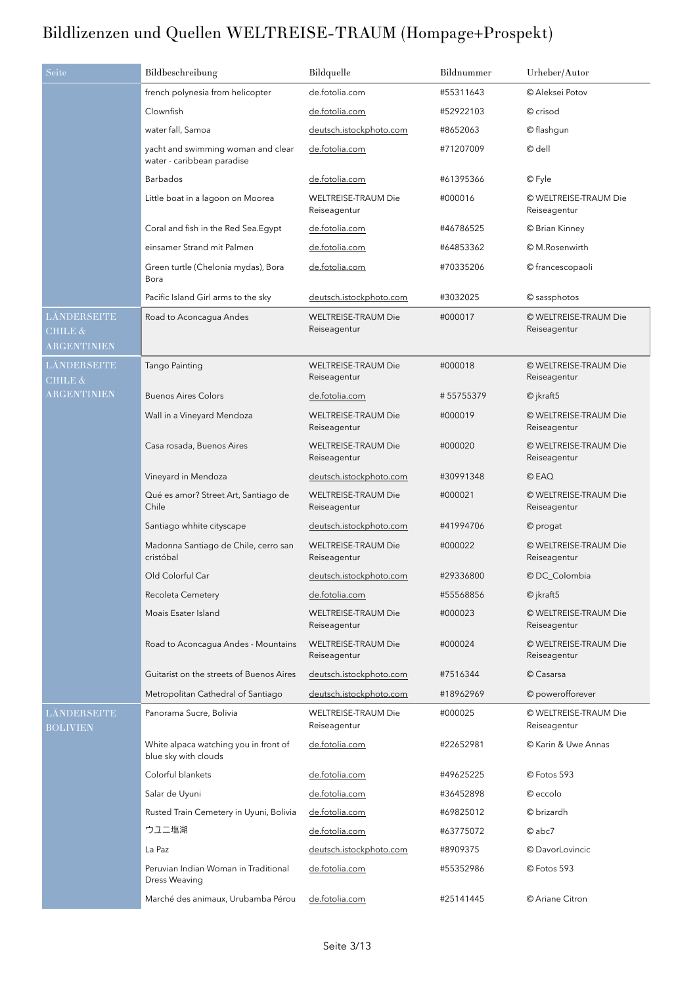| Seite                                            | Bildbeschreibung                                                 | Bildquelle                                 | Bildnummer | Urheber/Autor                         |
|--------------------------------------------------|------------------------------------------------------------------|--------------------------------------------|------------|---------------------------------------|
|                                                  | french polynesia from helicopter                                 | de.fotolia.com                             | #55311643  | © Aleksei Potov                       |
|                                                  | Clownfish                                                        | de.fotolia.com                             | #52922103  | © crisod                              |
|                                                  | water fall, Samoa                                                | deutsch.istockphoto.com                    | #8652063   | © flashqun                            |
|                                                  | yacht and swimming woman and clear<br>water - caribbean paradise | de.fotolia.com                             | #71207009  | © dell                                |
|                                                  | <b>Barbados</b>                                                  | de.fotolia.com                             | #61395366  | © Fyle                                |
|                                                  | Little boat in a lagoon on Moorea                                | <b>WELTREISE-TRAUM Die</b><br>Reiseagentur | #000016    | © WELTREISE-TRAUM Die<br>Reiseagentur |
|                                                  | Coral and fish in the Red Sea.Egypt                              | de.fotolia.com                             | #46786525  | © Brian Kinney                        |
|                                                  | einsamer Strand mit Palmen                                       | de.fotolia.com                             | #64853362  | © M.Rosenwirth                        |
|                                                  | Green turtle (Chelonia mydas), Bora<br>Bora                      | de.fotolia.com                             | #70335206  | © francescopaoli                      |
|                                                  | Pacific Island Girl arms to the sky                              | deutsch.istockphoto.com                    | #3032025   | © sassphotos                          |
| LÄNDERSEITE<br><b>CHILE &amp;</b><br>ARGENTINIEN | Road to Aconcagua Andes                                          | <b>WELTREISE-TRAUM Die</b><br>Reiseagentur | #000017    | © WELTREISE-TRAUM Die<br>Reiseagentur |
| LÄNDERSEITE<br>CHILE &                           | Tango Painting                                                   | <b>WELTREISE-TRAUM Die</b><br>Reiseagentur | #000018    | © WELTREISE-TRAUM Die<br>Reiseagentur |
| <b>ARGENTINIEN</b>                               | <b>Buenos Aires Colors</b>                                       | de.fotolia.com                             | #55755379  | $\odot$ jkraft5                       |
|                                                  | Wall in a Vineyard Mendoza                                       | WELTREISE-TRAUM Die<br>Reiseagentur        | #000019    | © WELTREISE-TRAUM Die<br>Reiseagentur |
|                                                  | Casa rosada, Buenos Aires                                        | <b>WELTREISE-TRAUM Die</b><br>Reiseagentur | #000020    | © WELTREISE-TRAUM Die<br>Reiseagentur |
|                                                  | Vineyard in Mendoza                                              | deutsch.istockphoto.com                    | #30991348  | © EAQ                                 |
|                                                  | Qué es amor? Street Art, Santiago de<br>Chile                    | <b>WELTREISE-TRAUM Die</b><br>Reiseagentur | #000021    | © WELTREISE-TRAUM Die<br>Reiseagentur |
|                                                  | Santiago whhite cityscape                                        | deutsch.istockphoto.com                    | #41994706  | © progat                              |
|                                                  | Madonna Santiago de Chile, cerro san<br>cristóbal                | <b>WELTREISE-TRAUM Die</b><br>Reiseagentur | #000022    | © WELTREISE-TRAUM Die<br>Reiseagentur |
|                                                  | Old Colorful Car                                                 | deutsch.istockphoto.com                    | #29336800  | © DC_Colombia                         |
|                                                  | Recoleta Cemetery                                                | de.fotolia.com                             | #55568856  | © jkraft5                             |
|                                                  | Moais Esater Island                                              | <b>WELTREISE-TRAUM Die</b><br>Reiseagentur | #000023    | © WELTREISE-TRAUM Die<br>Reiseagentur |
|                                                  | Road to Aconcagua Andes - Mountains                              | <b>WELTREISE-TRAUM Die</b><br>Reiseagentur | #000024    | © WELTREISE-TRAUM Die<br>Reiseagentur |
|                                                  | Guitarist on the streets of Buenos Aires                         | deutsch.istockphoto.com                    | #7516344   | © Casarsa                             |
|                                                  | Metropolitan Cathedral of Santiago                               | deutsch.istockphoto.com                    | #18962969  | © powerofforever                      |
| LÄNDERSEITE<br><b>BOLIVIEN</b>                   | Panorama Sucre, Bolivia                                          | <b>WELTREISE-TRAUM Die</b><br>Reiseagentur | #000025    | © WELTREISE-TRAUM Die<br>Reiseagentur |
|                                                  | White alpaca watching you in front of<br>blue sky with clouds    | de.fotolia.com                             | #22652981  | © Karin & Uwe Annas                   |
|                                                  | Colorful blankets                                                | de.fotolia.com                             | #49625225  | © Fotos 593                           |
|                                                  | Salar de Uyuni                                                   | de.fotolia.com                             | #36452898  | © eccolo                              |
|                                                  | Rusted Train Cemetery in Uyuni, Bolivia                          | de.fotolia.com                             | #69825012  | © brizardh                            |
|                                                  | ウユニ塩湖                                                            | de.fotolia.com                             | #63775072  | @abc7                                 |
|                                                  | La Paz                                                           | deutsch.istockphoto.com                    | #8909375   | © DavorLovincic                       |
|                                                  | Peruvian Indian Woman in Traditional<br>Dress Weaving            | de.fotolia.com                             | #55352986  | © Fotos 593                           |
|                                                  | Marché des animaux, Urubamba Pérou                               | de.fotolia.com                             | #25141445  | © Ariane Citron                       |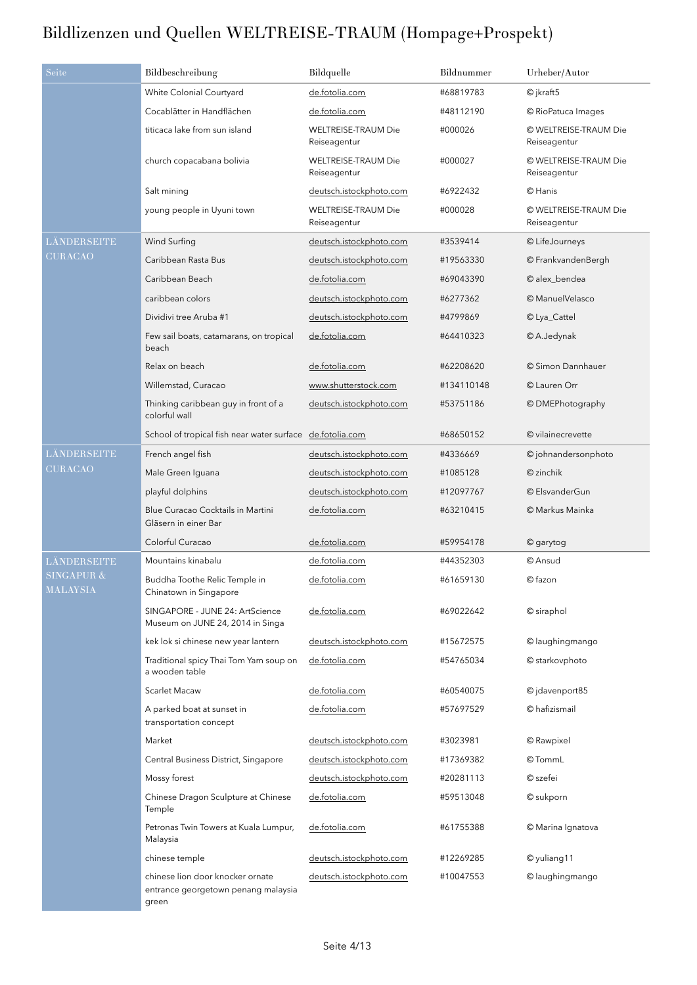| Seite                             | Bildbeschreibung                                                                 | Bildquelle                                 | Bildnummer | Urheber/Autor                         |
|-----------------------------------|----------------------------------------------------------------------------------|--------------------------------------------|------------|---------------------------------------|
|                                   | White Colonial Courtyard                                                         | de.fotolia.com                             | #68819783  | $\odot$ jkraft5                       |
|                                   | Cocablätter in Handflächen                                                       | de.fotolia.com                             | #48112190  | © RioPatuca Images                    |
|                                   | titicaca lake from sun island                                                    | <b>WELTREISE-TRAUM Die</b><br>Reiseagentur | #000026    | © WELTREISE-TRAUM Die<br>Reiseagentur |
|                                   | church copacabana bolivia                                                        | <b>WELTREISE-TRAUM Die</b><br>Reiseagentur | #000027    | © WELTREISE-TRAUM Die<br>Reiseagentur |
|                                   | Salt mining                                                                      | deutsch.istockphoto.com                    | #6922432   | © Hanis                               |
|                                   | young people in Uyuni town                                                       | <b>WELTREISE-TRAUM Die</b><br>Reiseagentur | #000028    | © WELTREISE-TRAUM Die<br>Reiseagentur |
| LÄNDERSEITE                       | Wind Surfing                                                                     | deutsch.istockphoto.com                    | #3539414   | © LifeJourneys                        |
| <b>CURACAO</b>                    | Caribbean Rasta Bus                                                              | deutsch.istockphoto.com                    | #19563330  | © FrankvandenBergh                    |
|                                   | Caribbean Beach                                                                  | de.fotolia.com                             | #69043390  | © alex_bendea                         |
|                                   | caribbean colors                                                                 | deutsch.istockphoto.com                    | #6277362   | © ManuelVelasco                       |
|                                   | Dividivi tree Aruba #1                                                           | deutsch.istockphoto.com                    | #4799869   | © Lya_Cattel                          |
|                                   | Few sail boats, catamarans, on tropical<br>beach                                 | de.fotolia.com                             | #64410323  | © A.Jedynak                           |
|                                   | Relax on beach                                                                   | de.fotolia.com                             | #62208620  | © Simon Dannhauer                     |
|                                   | Willemstad, Curacao                                                              | www.shutterstock.com                       | #134110148 | © Lauren Orr                          |
|                                   | Thinking caribbean guy in front of a<br>colorful wall                            | deutsch.istockphoto.com                    | #53751186  | © DMEPhotography                      |
|                                   | School of tropical fish near water surface de.fotolia.com                        |                                            | #68650152  | © vilainecrevette                     |
| LÄNDERSEITE                       | French angel fish                                                                | deutsch.istockphoto.com                    | #4336669   | © johnandersonphoto                   |
| <b>CURACAO</b>                    | Male Green Iguana                                                                | deutsch.istockphoto.com                    | #1085128   | © zinchik                             |
|                                   | playful dolphins                                                                 | deutsch.istockphoto.com                    | #12097767  | © ElsvanderGun                        |
|                                   | Blue Curacao Cocktails in Martini<br>Gläsern in einer Bar                        | de.fotolia.com                             | #63210415  | © Markus Mainka                       |
|                                   | Colorful Curacao                                                                 | de.fotolia.com                             | #59954178  | © garytog                             |
| LÄNDERSEITE                       | Mountains kinabalu                                                               | de.fotolia.com                             | #44352303  | © Ansud                               |
| <b>SINGAPUR &amp;</b><br>MALAYSIA | Buddha Toothe Relic Temple in<br>Chinatown in Singapore                          | de.fotolia.com                             | #61659130  | $©$ fazon                             |
|                                   | SINGAPORE - JUNE 24: ArtScience<br>Museum on JUNE 24, 2014 in Singa              | de.fotolia.com                             | #69022642  | © siraphol                            |
|                                   | kek lok si chinese new year lantern                                              | deutsch.istockphoto.com                    | #15672575  | © laughingmango                       |
|                                   | Traditional spicy Thai Tom Yam soup on<br>a wooden table                         | de.fotolia.com                             | #54765034  | © starkovphoto                        |
|                                   | <b>Scarlet Macaw</b>                                                             | de.fotolia.com                             | #60540075  | © jdavenport85                        |
|                                   | A parked boat at sunset in<br>transportation concept                             | de.fotolia.com                             | #57697529  | © hafizismail                         |
|                                   | Market                                                                           | deutsch.istockphoto.com                    | #3023981   | © Rawpixel                            |
|                                   | Central Business District, Singapore                                             | deutsch.istockphoto.com                    | #17369382  | © TommL                               |
|                                   | Mossy forest                                                                     | deutsch.istockphoto.com                    | #20281113  | © szefei                              |
|                                   | Chinese Dragon Sculpture at Chinese<br>Temple                                    | de.fotolia.com                             | #59513048  | © sukporn                             |
|                                   | Petronas Twin Towers at Kuala Lumpur,<br>Malaysia                                | de.fotolia.com                             | #61755388  | © Marina Ignatova                     |
|                                   | chinese temple                                                                   | deutsch.istockphoto.com                    | #12269285  | © yuliang11                           |
|                                   | chinese lion door knocker ornate<br>entrance georgetown penang malaysia<br>green | deutsch.istockphoto.com                    | #10047553  | © laughingmango                       |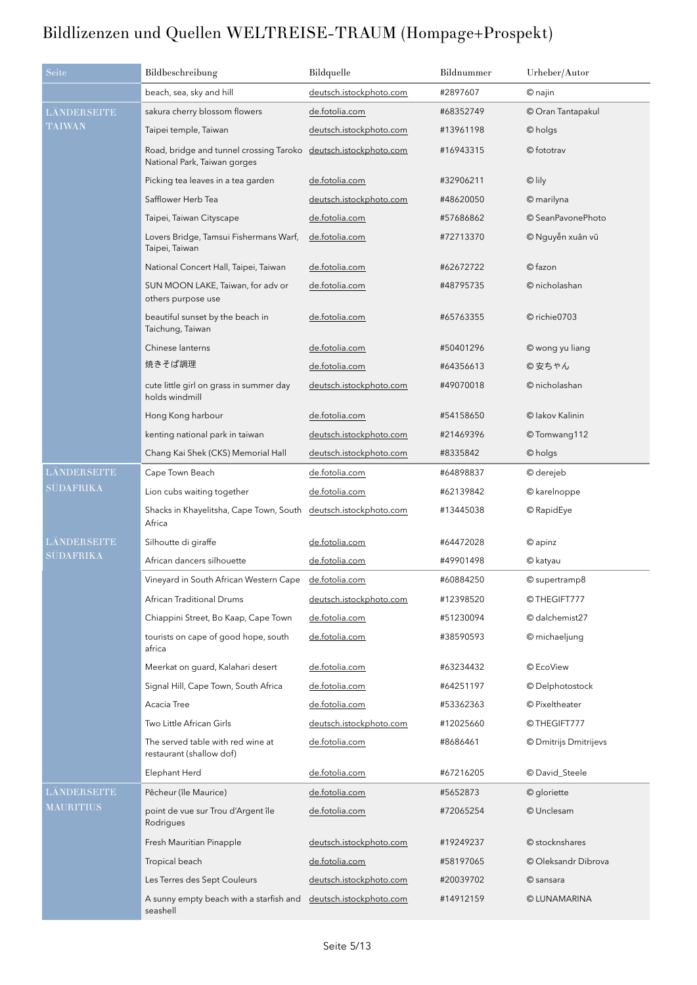| Seite            | Bildbeschreibung                                                        | Bildquelle              | Bildnummer | Urheber/Autor         |
|------------------|-------------------------------------------------------------------------|-------------------------|------------|-----------------------|
|                  | beach, sea, sky and hill                                                | deutsch.istockphoto.com | #2897607   | © najin               |
| LÄNDERSEITE      | sakura cherry blossom flowers                                           | de.fotolia.com          | #68352749  | © Oran Tantapakul     |
| <b>TAIWAN</b>    | Taipei temple, Taiwan                                                   | deutsch.istockphoto.com | #13961198  | © holgs               |
|                  | Road, bridge and tunnel crossing Taroko<br>National Park, Taiwan gorges | deutsch.istockphoto.com | #16943315  | © fototrav            |
|                  | Picking tea leaves in a tea garden                                      | de.fotolia.com          | #32906211  | © lily                |
|                  | Safflower Herb Tea                                                      | deutsch.istockphoto.com | #48620050  | © marilyna            |
|                  | Taipei, Taiwan Cityscape                                                | de.fotolia.com          | #57686862  | © SeanPavonePhoto     |
|                  | Lovers Bridge, Tamsui Fishermans Warf,<br>Taipei, Taiwan                | de.fotolia.com          | #72713370  | © Nguyễn xuân vũ      |
|                  | National Concert Hall, Taipei, Taiwan                                   | de.fotolia.com          | #62672722  | © fazon               |
|                  | SUN MOON LAKE, Taiwan, for adv or<br>others purpose use                 | de.fotolia.com          | #48795735  | © nicholashan         |
|                  | beautiful sunset by the beach in<br>Taichung, Taiwan                    | de.fotolia.com          | #65763355  | © richie0703          |
|                  | Chinese lanterns                                                        | de.fotolia.com          | #50401296  | © wong yu liang       |
|                  | 焼きそば調理                                                                  | de.fotolia.com          | #64356613  | ◎ 安ちゃん                |
|                  | cute little girl on grass in summer day<br>holds windmill               | deutsch.istockphoto.com | #49070018  | © nicholashan         |
|                  | Hong Kong harbour                                                       | de.fotolia.com          | #54158650  | © lakov Kalinin       |
|                  | kenting national park in taiwan                                         | deutsch.istockphoto.com | #21469396  | © Tomwang112          |
|                  | Chang Kai Shek (CKS) Memorial Hall                                      | deutsch.istockphoto.com | #8335842   | © holgs               |
| LÄNDERSEITE      | Cape Town Beach                                                         | de.fotolia.com          | #64898837  | © derejeb             |
| <b>SÜDAFRIKA</b> | Lion cubs waiting together                                              | de.fotolia.com          | #62139842  | © karelnoppe          |
|                  | Shacks in Khayelitsha, Cape Town, South<br>Africa                       | deutsch.istockphoto.com | #13445038  | © RapidEye            |
| LÄNDERSEITE      | Silhoutte di giraffe                                                    | de.fotolia.com          | #64472028  | © apinz               |
| <b>SÜDAFRIKA</b> | African dancers silhouette                                              | de.fotolia.com          | #49901498  | © katyau              |
|                  | Vineyard in South African Western Cape                                  | de.fotolia.com          | #60884250  | © supertramp8         |
|                  | African Traditional Drums                                               | deutsch.istockphoto.com | #12398520  | © THEGIFT777          |
|                  | Chiappini Street, Bo Kaap, Cape Town                                    | de.fotolia.com          | #51230094  | © dalchemist27        |
|                  | tourists on cape of good hope, south<br>africa                          | de.fotolia.com          | #38590593  | © michaeljung         |
|                  | Meerkat on guard, Kalahari desert                                       | de.fotolia.com          | #63234432  | © EcoView             |
|                  | Signal Hill, Cape Town, South Africa                                    | de.fotolia.com          | #64251197  | © Delphotostock       |
|                  | Acacia Tree                                                             | de.fotolia.com          | #53362363  | © Pixeltheater        |
|                  | Two Little African Girls                                                | deutsch.istockphoto.com | #12025660  | © THEGIFT777          |
|                  | The served table with red wine at<br>restaurant (shallow dof)           | de.fotolia.com          | #8686461   | © Dmitrijs Dmitrijevs |
|                  | Elephant Herd                                                           | de.fotolia.com          | #67216205  | © David_Steele        |
| LÄNDERSEITE      | Pêcheur (île Maurice)                                                   | de.fotolia.com          | #5652873   | © gloriette           |
| <b>MAURITIUS</b> | point de vue sur Trou d'Argent île<br>Rodrigues                         | de.fotolia.com          | #72065254  | © Unclesam            |
|                  | Fresh Mauritian Pinapple                                                | deutsch.istockphoto.com | #19249237  | © stocknshares        |
|                  | Tropical beach                                                          | de.fotolia.com          | #58197065  | © Oleksandr Dibrova   |
|                  | Les Terres des Sept Couleurs                                            | deutsch.istockphoto.com | #20039702  | © sansara             |
|                  | A sunny empty beach with a starfish and<br>seashell                     | deutsch.istockphoto.com | #14912159  | © LUNAMARINA          |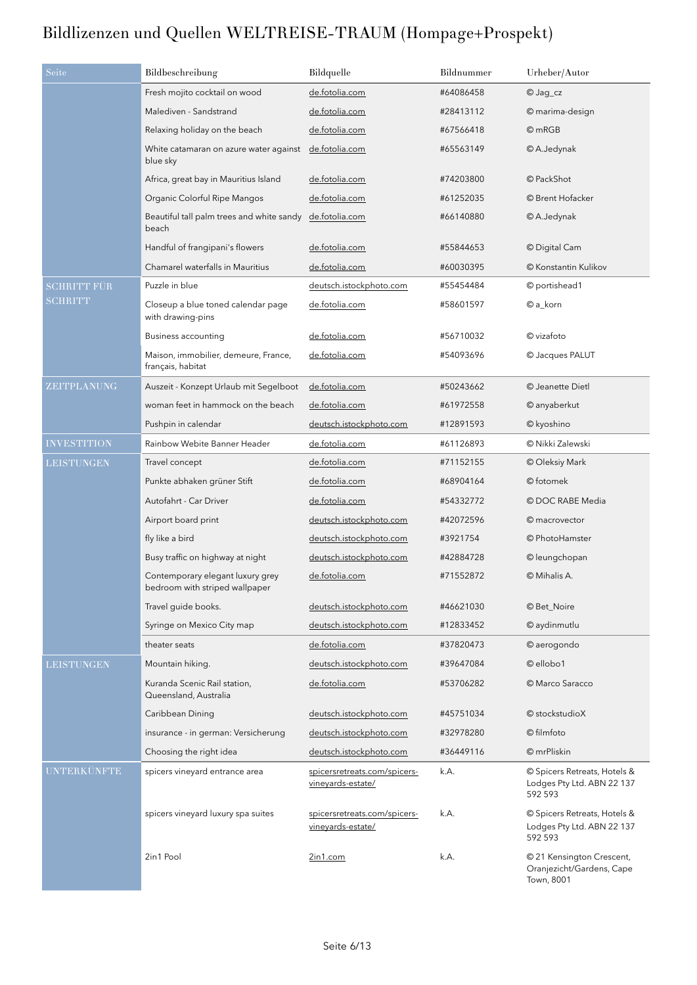| Seite              | Bildbeschreibung                                                   | Bildquelle                                        | Bildnummer | Urheber/Autor                                                         |
|--------------------|--------------------------------------------------------------------|---------------------------------------------------|------------|-----------------------------------------------------------------------|
|                    | Fresh mojito cocktail on wood                                      | de.fotolia.com                                    | #64086458  | © Jag_cz                                                              |
|                    | Malediven - Sandstrand                                             | de.fotolia.com                                    | #28413112  | © marima-design                                                       |
|                    | Relaxing holiday on the beach                                      | de.fotolia.com                                    | #67566418  | @mRGB                                                                 |
|                    | White catamaran on azure water against<br>blue sky                 | de.fotolia.com                                    | #65563149  | © A.Jedynak                                                           |
|                    | Africa, great bay in Mauritius Island                              | de.fotolia.com                                    | #74203800  | © PackShot                                                            |
|                    | Organic Colorful Ripe Mangos                                       | de.fotolia.com                                    | #61252035  | © Brent Hofacker                                                      |
|                    | Beautiful tall palm trees and white sandy<br>beach                 | de.fotolia.com                                    | #66140880  | © A.Jedynak                                                           |
|                    | Handful of frangipani's flowers                                    | de.fotolia.com                                    | #55844653  | © Digital Cam                                                         |
|                    | Chamarel waterfalls in Mauritius                                   | de.fotolia.com                                    | #60030395  | © Konstantin Kulikov                                                  |
| SCHRITT FÜR        | Puzzle in blue                                                     | deutsch.istockphoto.com                           | #55454484  | © portishead1                                                         |
| <b>SCHRITT</b>     | Closeup a blue toned calendar page<br>with drawing-pins            | de.fotolia.com                                    | #58601597  | © a_korn                                                              |
|                    | Business accounting                                                | de.fotolia.com                                    | #56710032  | © vizafoto                                                            |
|                    | Maison, immobilier, demeure, France,<br>français, habitat          | de.fotolia.com                                    | #54093696  | © Jacques PALUT                                                       |
| ZEITPLANUNG        | Auszeit - Konzept Urlaub mit Segelboot                             | de.fotolia.com                                    | #50243662  | © Jeanette Dietl                                                      |
|                    | woman feet in hammock on the beach                                 | de.fotolia.com                                    | #61972558  | © anyaberkut                                                          |
|                    | Pushpin in calendar                                                | deutsch.istockphoto.com                           | #12891593  | © kyoshino                                                            |
| <b>INVESTITION</b> | Rainbow Webite Banner Header                                       | de.fotolia.com                                    | #61126893  | © Nikki Zalewski                                                      |
| <b>LEISTUNGEN</b>  | Travel concept                                                     | de.fotolia.com                                    | #71152155  | © Oleksiy Mark                                                        |
|                    | Punkte abhaken grüner Stift                                        | de.fotolia.com                                    | #68904164  | © fotomek                                                             |
|                    | Autofahrt - Car Driver                                             | de.fotolia.com                                    | #54332772  | © DOC RABE Media                                                      |
|                    | Airport board print                                                | deutsch.istockphoto.com                           | #42072596  | © macrovector                                                         |
|                    | fly like a bird                                                    | deutsch.istockphoto.com                           | #3921754   | © PhotoHamster                                                        |
|                    | Busy traffic on highway at night                                   | deutsch.istockphoto.com                           | #42884728  | © leungchopan                                                         |
|                    | Contemporary elegant luxury grey<br>bedroom with striped wallpaper | de.fotolia.com                                    | #71552872  | © Mihalis A.                                                          |
|                    | Travel quide books.                                                | deutsch.istockphoto.com                           | #46621030  | © Bet_Noire                                                           |
|                    | Syringe on Mexico City map                                         | deutsch.istockphoto.com                           | #12833452  | © aydinmutlu                                                          |
|                    | theater seats                                                      | de.fotolia.com                                    | #37820473  | © aerogondo                                                           |
| <b>LEISTUNGEN</b>  | Mountain hiking.                                                   | deutsch.istockphoto.com                           | #39647084  | © ellobo1                                                             |
|                    | Kuranda Scenic Rail station,<br>Queensland, Australia              | de.fotolia.com                                    | #53706282  | © Marco Saracco                                                       |
|                    | Caribbean Dining                                                   | deutsch.istockphoto.com                           | #45751034  | © stockstudioX                                                        |
|                    | insurance - in german: Versicherung                                | deutsch.istockphoto.com                           | #32978280  | © filmfoto                                                            |
|                    | Choosing the right idea                                            | deutsch.istockphoto.com                           | #36449116  | © mrPliskin                                                           |
| <b>UNTERKÜNFTE</b> | spicers vineyard entrance area                                     | spicersretreats.com/spicers-<br>vineyards-estate/ | k.A.       | © Spicers Retreats, Hotels &<br>Lodges Pty Ltd. ABN 22 137<br>592 593 |
|                    | spicers vineyard luxury spa suites                                 | spicersretreats.com/spicers-<br>vineyards-estate/ | k.A.       | © Spicers Retreats, Hotels &<br>Lodges Pty Ltd. ABN 22 137<br>592 593 |
|                    | 2in1 Pool                                                          | 2in1.com                                          | k.A.       | © 21 Kensington Crescent,<br>Oranjezicht/Gardens, Cape<br>Town, 8001  |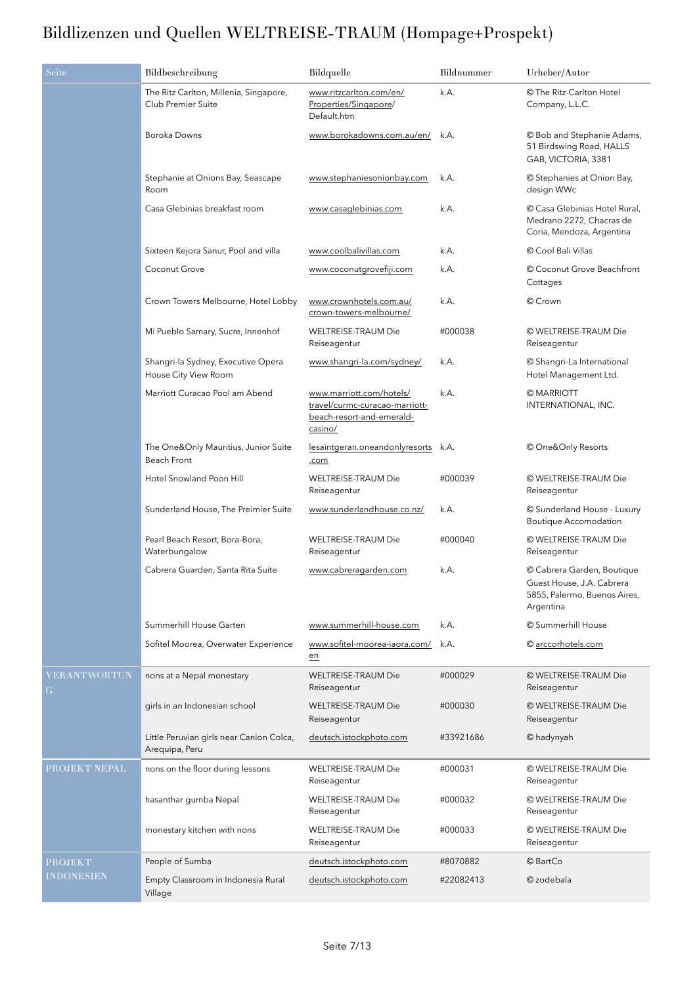| Seite                    | Bildbeschreibung                                             | Bildquelle                                                                                         | Bildnummer | Urheber/Autor                                                                                        |
|--------------------------|--------------------------------------------------------------|----------------------------------------------------------------------------------------------------|------------|------------------------------------------------------------------------------------------------------|
|                          | The Ritz Carlton, Millenia, Singapore,<br>Club Premier Suite | www.ritzcarlton.com/en/<br>Properties/Singapore/<br>Default.htm                                    | k.A.       | © The Ritz-Carlton Hotel<br>Company, L.L.C.                                                          |
|                          | Boroka Downs                                                 | www.borokadowns.com.au/en/ k.A.                                                                    |            | © Bob and Stephanie Adams,<br>51 Birdswing Road, HALLS<br>GAB, VICTORIA, 3381                        |
|                          | Stephanie at Onions Bay, Seascape<br>Room                    | www.stephaniesonionbay.com                                                                         | k.A.       | © Stephanies at Onion Bay,<br>design WWc                                                             |
|                          | Casa Glebinias breakfast room                                | www.casaglebinias.com                                                                              | k.A.       | © Casa Glebinias Hotel Rural,<br>Medrano 2272, Chacras de<br>Coria, Mendoza, Argentina               |
|                          | Sixteen Kejora Sanur, Pool and villa                         | www.coolbalivillas.com                                                                             | k.A.       | Cool Bali Villas                                                                                     |
|                          | Coconut Grove                                                | www.coconutgrovefiji.com                                                                           | k.A.       | © Coconut Grove Beachfront<br>Cottages                                                               |
|                          | Crown Towers Melbourne, Hotel Lobby                          | www.crownhotels.com.au/<br>crown-towers-melbourne/                                                 | k.A.       | © Crown                                                                                              |
|                          | Mi Pueblo Samary, Sucre, Innenhof                            | <b>WELTREISE-TRAUM Die</b><br>Reiseagentur                                                         | #000038    | © WELTREISE-TRAUM Die<br>Reiseagentur                                                                |
|                          | Shangri-la Sydney, Executive Opera<br>House City View Room   | www.shangri-la.com/sydney/                                                                         | k.A.       | © Shangri-La International<br>Hotel Management Ltd.                                                  |
|                          | Marriott Curacao Pool am Abend                               | www.marriott.com/hotels/<br>travel/curmc-curacao-marriott-<br>beach-resort-and-emerald-<br>casino/ | k.A.       | © MARRIOTT<br>INTERNATIONAL, INC.                                                                    |
|                          | The One&Only Mauritius, Junior Suite<br>Beach Front          | lesaintgeran.oneandonlyresorts k.A.<br>.com                                                        |            | © One&Only Resorts                                                                                   |
|                          | Hotel Snowland Poon Hill                                     | WELTREISE-TRAUM Die<br>Reiseagentur                                                                | #000039    | © WELTREISE-TRAUM Die<br>Reiseagentur                                                                |
|                          | Sunderland House, The Preimier Suite                         | www.sunderlandhouse.co.nz/                                                                         | k.A.       | © Sunderland House - Luxury<br>Boutique Accomodation                                                 |
|                          | Pearl Beach Resort, Bora-Bora,<br>Waterbungalow              | <b>WELTREISE-TRAUM Die</b><br>Reiseagentur                                                         | #000040    | © WELTREISE-TRAUM Die<br>Reiseagentur                                                                |
|                          | Cabrera Guarden, Santa Rita Suite                            | www.cabreragarden.com                                                                              | k.A.       | © Cabrera Garden, Boutique<br>Guest House, J.A. Cabrera<br>5855, Palermo, Buenos Aires,<br>Argentina |
|                          | Summerhill House Garten                                      | www.summerhill-house.com                                                                           | k.A.       | © Summerhill House                                                                                   |
|                          | Sofitel Moorea, Overwater Experience                         | www.sofitel-moorea-iaora.com/<br>en                                                                | k.A.       | © arccorhotels.com                                                                                   |
| <b>VERANTWORTUN</b><br>G | nons at a Nepal monestary                                    | <b>WELTREISE-TRAUM Die</b><br>Reiseagentur                                                         | #000029    | © WELTREISE-TRAUM Die<br>Reiseagentur                                                                |
|                          | girls in an Indonesian school                                | <b>WELTREISE-TRAUM Die</b><br>Reiseagentur                                                         | #000030    | © WELTREISE-TRAUM Die<br>Reiseagentur                                                                |
|                          | Little Peruvian girls near Canion Colca,<br>Arequipa, Peru   | deutsch.istockphoto.com                                                                            | #33921686  | © hadynyah                                                                                           |
| PROJEKT NEPAL            | nons on the floor during lessons                             | <b>WELTREISE-TRAUM Die</b><br>Reiseagentur                                                         | #000031    | © WELTREISE-TRAUM Die<br>Reiseagentur                                                                |
|                          | hasanthar gumba Nepal                                        | <b>WELTREISE-TRAUM Die</b><br>Reiseagentur                                                         | #000032    | © WELTREISE-TRAUM Die<br>Reiseagentur                                                                |
|                          | monestary kitchen with nons                                  | <b>WELTREISE-TRAUM Die</b><br>Reiseagentur                                                         | #000033    | © WELTREISE-TRAUM Die<br>Reiseagentur                                                                |
| <b>PROJEKT</b>           | People of Sumba                                              | deutsch.istockphoto.com                                                                            | #8070882   | © BartCo                                                                                             |
| <b>INDONESIEN</b>        | Empty Classroom in Indonesia Rural<br>Village                | deutsch.istockphoto.com                                                                            | #22082413  | © zodebala                                                                                           |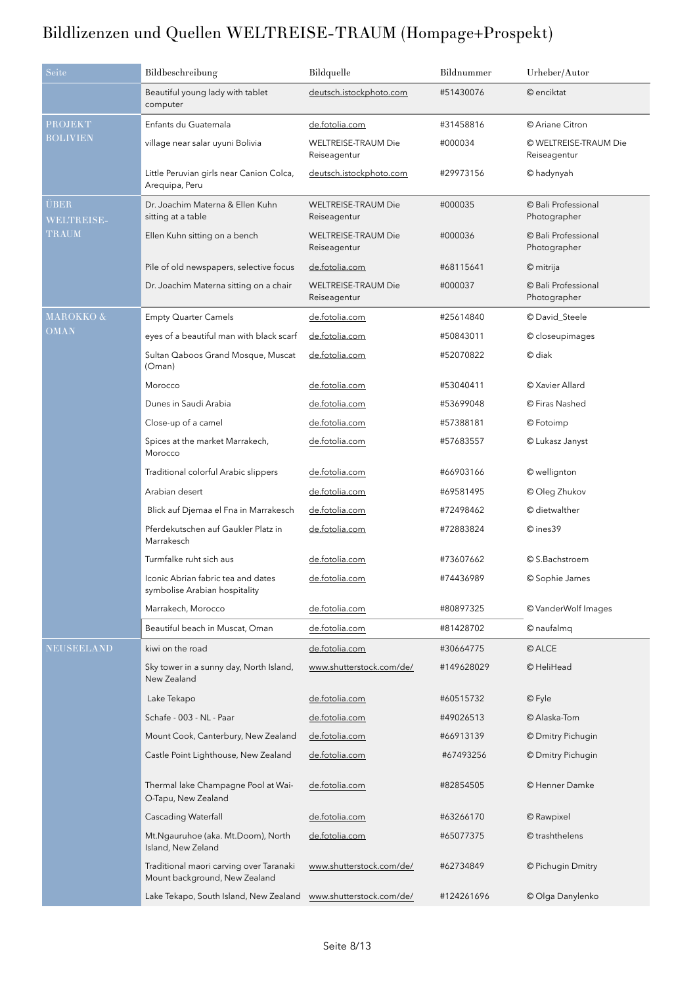| Seite                     | Bildbeschreibung                                                         | Bildquelle                                 | Bildnummer | Urheber/Autor                         |
|---------------------------|--------------------------------------------------------------------------|--------------------------------------------|------------|---------------------------------------|
|                           | Beautiful young lady with tablet<br>computer                             | deutsch.istockphoto.com                    | #51430076  | © enciktat                            |
| <b>PROJEKT</b>            | Enfants du Guatemala                                                     | de.fotolia.com                             | #31458816  | © Ariane Citron                       |
| BOLIVIEN                  | village near salar uyuni Bolivia                                         | <b>WELTREISE-TRAUM Die</b><br>Reiseagentur | #000034    | © WELTREISE-TRAUM Die<br>Reiseagentur |
|                           | Little Peruvian girls near Canion Colca,<br>Arequipa, Peru               | deutsch.istockphoto.com                    | #29973156  | © hadynyah                            |
| <b>JBER</b><br>WELTREISE- | Dr. Joachim Materna & Ellen Kuhn<br>sitting at a table                   | <b>WELTREISE-TRAUM Die</b><br>Reiseagentur | #000035    | © Bali Professional<br>Photographer   |
| TRAUM                     | Ellen Kuhn sitting on a bench                                            | <b>WELTREISE-TRAUM Die</b><br>Reiseagentur | #000036    | © Bali Professional<br>Photographer   |
|                           | Pile of old newspapers, selective focus                                  | de.fotolia.com                             | #68115641  | © mitrija                             |
|                           | Dr. Joachim Materna sitting on a chair                                   | <b>WELTREISE-TRAUM Die</b><br>Reiseagentur | #000037    | © Bali Professional<br>Photographer   |
| MAROKKO &                 | <b>Empty Quarter Camels</b>                                              | de.fotolia.com                             | #25614840  | © David_Steele                        |
| <b>OMAN</b>               | eyes of a beautiful man with black scarf                                 | de.fotolia.com                             | #50843011  | © closeupimages                       |
|                           | Sultan Qaboos Grand Mosque, Muscat<br>(Oman)                             | de.fotolia.com                             | #52070822  | © diak                                |
|                           | Morocco                                                                  | de.fotolia.com                             | #53040411  | © Xavier Allard                       |
|                           | Dunes in Saudi Arabia                                                    | de.fotolia.com                             | #53699048  | © Firas Nashed                        |
|                           | Close-up of a camel                                                      | de.fotolia.com                             | #57388181  | © Fotoimp                             |
|                           | Spices at the market Marrakech,<br>Morocco                               | de.fotolia.com                             | #57683557  | © Lukasz Janyst                       |
|                           | Traditional colorful Arabic slippers                                     | de.fotolia.com                             | #66903166  | © wellignton                          |
|                           | Arabian desert                                                           | de.fotolia.com                             | #69581495  | © Oleg Zhukov                         |
|                           | Blick auf Djemaa el Fna in Marrakesch                                    | de.fotolia.com                             | #72498462  | © dietwalther                         |
|                           | Pferdekutschen auf Gaukler Platz in<br>Marrakesch                        | de.fotolia.com                             | #72883824  | © ines39                              |
|                           | Turmfalke ruht sich aus                                                  | de.fotolia.com                             | #73607662  | © S.Bachstroem                        |
|                           | Iconic Abrian fabric tea and dates<br>symbolise Arabian hospitality      | de.fotolia.com                             | #74436989  | © Sophie James                        |
|                           | Marrakech, Morocco                                                       | de.fotolia.com                             | #80897325  | © VanderWolf Images                   |
|                           | Beautiful beach in Muscat, Oman                                          | de.fotolia.com                             | #81428702  | © naufalmq                            |
| <b>NEUSEELAND</b>         | kiwi on the road                                                         | de.fotolia.com                             | #30664775  | © ALCE                                |
|                           | Sky tower in a sunny day, North Island,<br>New Zealand                   | www.shutterstock.com/de/                   | #149628029 | © HeliHead                            |
|                           | Lake Tekapo                                                              | de.fotolia.com                             | #60515732  | © Fyle                                |
|                           | Schafe - 003 - NL - Paar                                                 | de.fotolia.com                             | #49026513  | © Alaska-Tom                          |
|                           | Mount Cook, Canterbury, New Zealand                                      | de.fotolia.com                             | #66913139  | © Dmitry Pichugin                     |
|                           | Castle Point Lighthouse, New Zealand                                     | de.fotolia.com                             | #67493256  | © Dmitry Pichugin                     |
|                           | Thermal lake Champagne Pool at Wai-<br>O-Tapu, New Zealand               | de.fotolia.com                             | #82854505  | © Henner Damke                        |
|                           | <b>Cascading Waterfall</b>                                               | de.fotolia.com                             | #63266170  | © Rawpixel                            |
|                           | Mt.Ngauruhoe (aka. Mt.Doom), North<br>Island, New Zeland                 | de.fotolia.com                             | #65077375  | © trashthelens                        |
|                           | Traditional maori carving over Taranaki<br>Mount background, New Zealand | www.shutterstock.com/de/                   | #62734849  | © Pichugin Dmitry                     |
|                           | Lake Tekapo, South Island, New Zealand                                   | www.shutterstock.com/de/                   | #124261696 | © Olga Danylenko                      |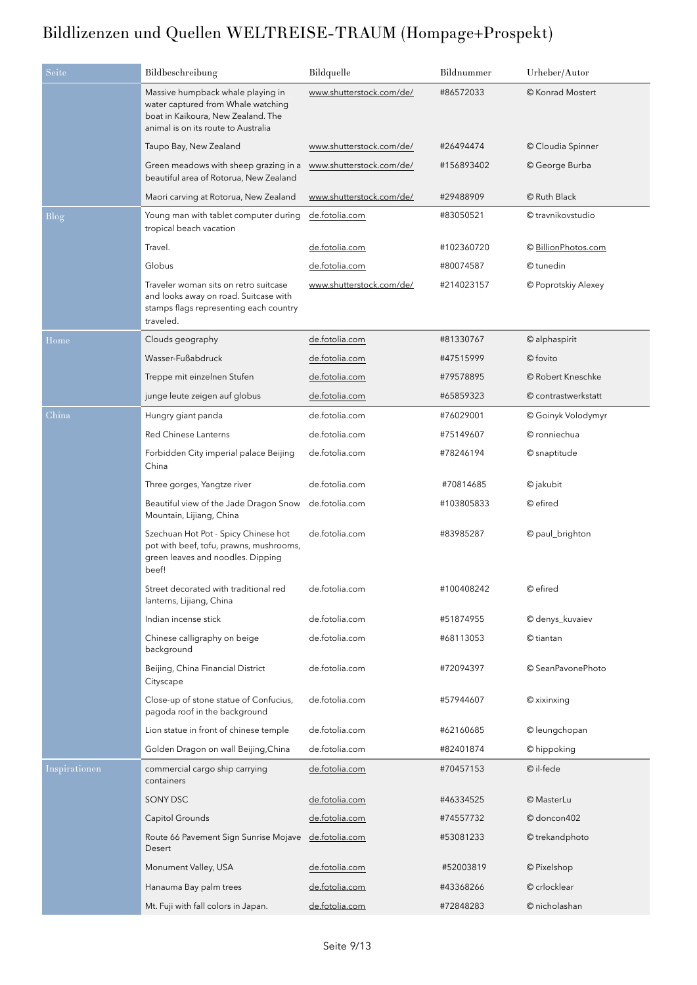| Seite         | Bildbeschreibung                                                                                                                                     | Bildquelle               | Bildnummer | Urheber/Autor       |
|---------------|------------------------------------------------------------------------------------------------------------------------------------------------------|--------------------------|------------|---------------------|
|               | Massive humpback whale playing in<br>water captured from Whale watching<br>boat in Kaikoura, New Zealand. The<br>animal is on its route to Australia | www.shutterstock.com/de/ | #86572033  | © Konrad Mostert    |
|               | Taupo Bay, New Zealand                                                                                                                               | www.shutterstock.com/de/ | #26494474  | © Cloudia Spinner   |
|               | Green meadows with sheep grazing in a<br>beautiful area of Rotorua, New Zealand                                                                      | www.shutterstock.com/de/ | #156893402 | © George Burba      |
|               | Maori carving at Rotorua, New Zealand                                                                                                                | www.shutterstock.com/de/ | #29488909  | © Ruth Black        |
| Blog          | Young man with tablet computer during<br>tropical beach vacation                                                                                     | de.fotolia.com           | #83050521  | © travnikovstudio   |
|               | Travel.                                                                                                                                              | de.fotolia.com           | #102360720 | © BillionPhotos.com |
|               | Globus                                                                                                                                               | de.fotolia.com           | #80074587  | © tunedin           |
|               | Traveler woman sits on retro suitcase<br>and looks away on road. Suitcase with<br>stamps flags representing each country<br>traveled.                | www.shutterstock.com/de/ | #214023157 | © Poprotskiy Alexey |
| Home          | Clouds geography                                                                                                                                     | de.fotolia.com           | #81330767  | © alphaspirit       |
|               | Wasser-Fußabdruck                                                                                                                                    | de.fotolia.com           | #47515999  | © fovito            |
|               | Treppe mit einzelnen Stufen                                                                                                                          | de.fotolia.com           | #79578895  | © Robert Kneschke   |
|               | junge leute zeigen auf globus                                                                                                                        | de.fotolia.com           | #65859323  | © contrastwerkstatt |
| China         | Hungry giant panda                                                                                                                                   | de.fotolia.com           | #76029001  | © Goinyk Volodymyr  |
|               | <b>Red Chinese Lanterns</b>                                                                                                                          | de.fotolia.com           | #75149607  | © ronniechua        |
|               | Forbidden City imperial palace Beijing<br>China                                                                                                      | de.fotolia.com           | #78246194  | © snaptitude        |
|               | Three gorges, Yangtze river                                                                                                                          | de.fotolia.com           | #70814685  | © jakubit           |
|               | Beautiful view of the Jade Dragon Snow<br>Mountain, Lijiang, China                                                                                   | de.fotolia.com           | #103805833 | © efired            |
|               | Szechuan Hot Pot - Spicy Chinese hot<br>pot with beef, tofu, prawns, mushrooms,<br>green leaves and noodles. Dipping<br>beef!                        | de.fotolia.com           | #83985287  | © paul_brighton     |
|               | Street decorated with traditional red<br>lanterns, Lijiang, China                                                                                    | de.fotolia.com           | #100408242 | © efired            |
|               | Indian incense stick                                                                                                                                 | de.fotolia.com           | #51874955  | © denys_kuvaiev     |
|               | Chinese calligraphy on beige<br>background                                                                                                           | de.fotolia.com           | #68113053  | © tiantan           |
|               | Beijing, China Financial District<br>Cityscape                                                                                                       | de.fotolia.com           | #72094397  | © SeanPavonePhoto   |
|               | Close-up of stone statue of Confucius,<br>pagoda roof in the background                                                                              | de.fotolia.com           | #57944607  | © xixinxing         |
|               | Lion statue in front of chinese temple                                                                                                               | de.fotolia.com           | #62160685  | © leungchopan       |
|               | Golden Dragon on wall Beijing, China                                                                                                                 | de.fotolia.com           | #82401874  | © hippoking         |
| Inspirationen | commercial cargo ship carrying<br>containers                                                                                                         | de.fotolia.com           | #70457153  | © il-fede           |
|               | SONY DSC                                                                                                                                             | de.fotolia.com           | #46334525  | © MasterLu          |
|               | Capitol Grounds                                                                                                                                      | de.fotolia.com           | #74557732  | © doncon402         |
|               | Route 66 Pavement Sign Sunrise Mojave<br>Desert                                                                                                      | de.fotolia.com           | #53081233  | © trekandphoto      |
|               | Monument Valley, USA                                                                                                                                 | de.fotolia.com           | #52003819  | © Pixelshop         |
|               | Hanauma Bay palm trees                                                                                                                               | de.fotolia.com           | #43368266  | © crlocklear        |
|               | Mt. Fuji with fall colors in Japan.                                                                                                                  | de.fotolia.com           | #72848283  | © nicholashan       |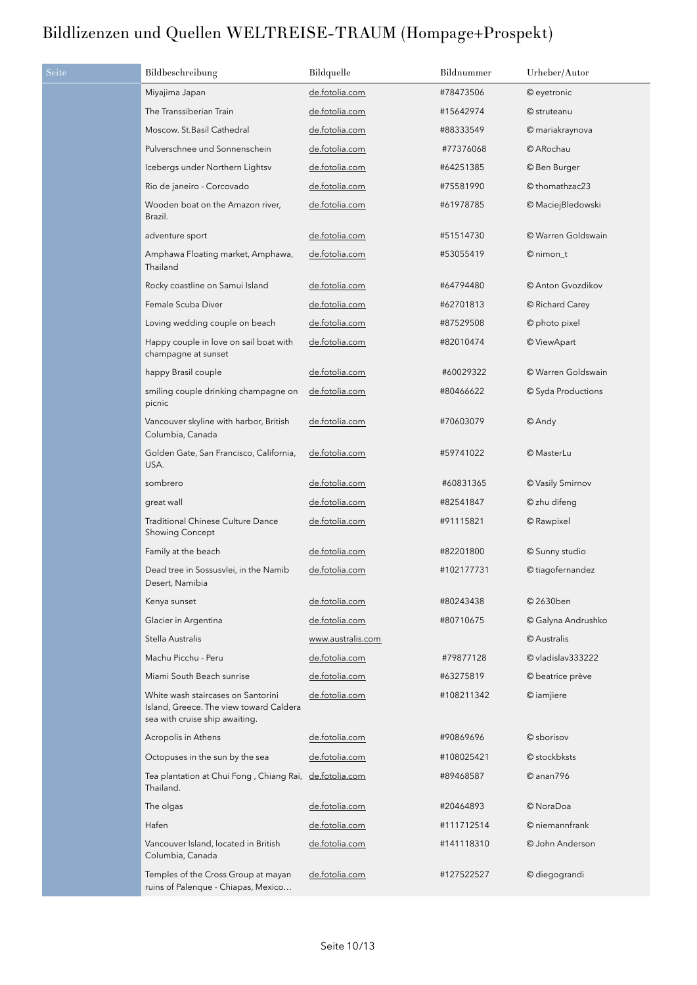| Seite | Bildbeschreibung                                                                                                | Bildquelle            | Bildnummer | Urheber/Autor      |
|-------|-----------------------------------------------------------------------------------------------------------------|-----------------------|------------|--------------------|
|       | Miyajima Japan                                                                                                  | de.fotolia.com        | #78473506  | © eyetronic        |
|       | The Transsiberian Train                                                                                         | <u>de.fotolia.com</u> | #15642974  | © struteanu        |
|       | Moscow. St.Basil Cathedral                                                                                      | de.fotolia.com        | #88333549  | © mariakraynova    |
|       | Pulverschnee und Sonnenschein                                                                                   | de.fotolia.com        | #77376068  | © ARochau          |
|       | Icebergs under Northern Lightsv                                                                                 | <u>de.fotolia.com</u> | #64251385  | © Ben Burger       |
|       | Rio de janeiro - Corcovado                                                                                      | de.fotolia.com        | #75581990  | © thomathzac23     |
|       | Wooden boat on the Amazon river,<br>Brazil.                                                                     | de.fotolia.com        | #61978785  | © MaciejBledowski  |
|       | adventure sport                                                                                                 | de.fotolia.com        | #51514730  | © Warren Goldswain |
|       | Amphawa Floating market, Amphawa,<br>Thailand                                                                   | de.fotolia.com        | #53055419  | $@$ nimon_t        |
|       | Rocky coastline on Samui Island                                                                                 | de.fotolia.com        | #64794480  | © Anton Gvozdikov  |
|       | Female Scuba Diver                                                                                              | de.fotolia.com        | #62701813  | © Richard Carey    |
|       | Loving wedding couple on beach                                                                                  | de.fotolia.com        | #87529508  | © photo pixel      |
|       | Happy couple in love on sail boat with<br>champagne at sunset                                                   | de.fotolia.com        | #82010474  | © ViewApart        |
|       | happy Brasil couple                                                                                             | de.fotolia.com        | #60029322  | © Warren Goldswain |
|       | smiling couple drinking champagne on<br>picnic                                                                  | de.fotolia.com        | #80466622  | © Syda Productions |
|       | Vancouver skyline with harbor, British<br>Columbia, Canada                                                      | de.fotolia.com        | #70603079  | © Andy             |
|       | Golden Gate, San Francisco, California,<br>USA.                                                                 | de.fotolia.com        | #59741022  | © MasterLu         |
|       | sombrero                                                                                                        | de.fotolia.com        | #60831365  | © Vasily Smirnov   |
|       | great wall                                                                                                      | de.fotolia.com        | #82541847  | © zhu difeng       |
|       | <b>Traditional Chinese Culture Dance</b><br><b>Showing Concept</b>                                              | de.fotolia.com        | #91115821  | © Rawpixel         |
|       | Family at the beach                                                                                             | de.fotolia.com        | #82201800  | © Sunny studio     |
|       | Dead tree in Sossusvlei, in the Namib<br>Desert, Namibia                                                        | de.fotolia.com        | #102177731 | © tiagofernandez   |
|       | Kenya sunset                                                                                                    | de.fotolia.com        | #80243438  | © 2630ben          |
|       | Glacier in Argentina                                                                                            | de.fotolia.com        | #80710675  | © Galyna Andrushko |
|       | Stella Australis                                                                                                | www.australis.com     |            | © Australis        |
|       | Machu Picchu - Peru                                                                                             | de.fotolia.com        | #79877128  | © vladislav333222  |
|       | Miami South Beach sunrise                                                                                       | de.fotolia.com        | #63275819  | © beatrice prève   |
|       | White wash staircases on Santorini<br>Island, Greece. The view toward Caldera<br>sea with cruise ship awaiting. | de.fotolia.com        | #108211342 | © iamjiere         |
|       | Acropolis in Athens                                                                                             | de.fotolia.com        | #90869696  | © sborisov         |
|       | Octopuses in the sun by the sea                                                                                 | de.fotolia.com        | #108025421 | © stockbksts       |
|       | Tea plantation at Chui Fong, Chiang Rai, de.fotolia.com<br>Thailand.                                            |                       | #89468587  | $@$ anan $796$     |
|       | The olgas                                                                                                       | de.fotolia.com        | #20464893  | © NoraDoa          |
|       | Hafen                                                                                                           | de.fotolia.com        | #111712514 | © niemannfrank     |
|       | Vancouver Island, located in British<br>Columbia, Canada                                                        | de.fotolia.com        | #141118310 | © John Anderson    |
|       | Temples of the Cross Group at mayan<br>ruins of Palenque - Chiapas, Mexico                                      | de.fotolia.com        | #127522527 | © diegograndi      |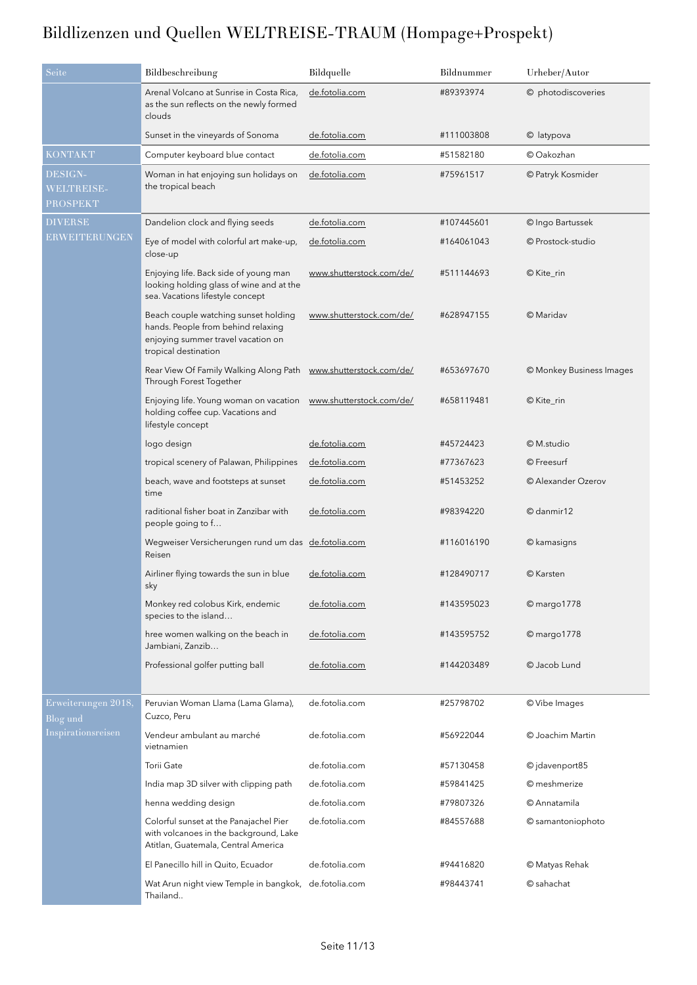| Seite                                    | Bildbeschreibung                                                                                                                         | Bildquelle               | Bildnummer | Urheber/Autor            |
|------------------------------------------|------------------------------------------------------------------------------------------------------------------------------------------|--------------------------|------------|--------------------------|
|                                          | Arenal Volcano at Sunrise in Costa Rica,<br>as the sun reflects on the newly formed<br>clouds                                            | de.fotolia.com           | #89393974  | © photodiscoveries       |
|                                          | Sunset in the vineyards of Sonoma                                                                                                        | de.fotolia.com           | #111003808 | © latypova               |
| <b>KONTAKT</b>                           | Computer keyboard blue contact                                                                                                           | de.fotolia.com           | #51582180  | © Oakozhan               |
| DESIGN-<br><b>WELTREISE-</b><br>PROSPEKT | Woman in hat enjoying sun holidays on<br>the tropical beach                                                                              | de.fotolia.com           | #75961517  | © Patryk Kosmider        |
| <b>DIVERSE</b>                           | Dandelion clock and flying seeds                                                                                                         | de.fotolia.com           | #107445601 | © Ingo Bartussek         |
| ERWEITERUNGEN                            | Eye of model with colorful art make-up,<br>close-up                                                                                      | de.fotolia.com           | #164061043 | © Prostock-studio        |
|                                          | Enjoying life. Back side of young man<br>looking holding glass of wine and at the<br>sea. Vacations lifestyle concept                    | www.shutterstock.com/de/ | #511144693 | © Kite_rin               |
|                                          | Beach couple watching sunset holding<br>hands. People from behind relaxing<br>enjoying summer travel vacation on<br>tropical destination | www.shutterstock.com/de/ | #628947155 | © Maridav                |
|                                          | Rear View Of Family Walking Along Path<br>Through Forest Together                                                                        | www.shutterstock.com/de/ | #653697670 | © Monkey Business Images |
|                                          | Enjoying life. Young woman on vacation<br>holding coffee cup. Vacations and<br>lifestyle concept                                         | www.shutterstock.com/de/ | #658119481 | © Kite_rin               |
|                                          | logo design                                                                                                                              | de.fotolia.com           | #45724423  | © M.studio               |
|                                          | tropical scenery of Palawan, Philippines                                                                                                 | de.fotolia.com           | #77367623  | © Freesurf               |
|                                          | beach, wave and footsteps at sunset<br>time                                                                                              | de.fotolia.com           | #51453252  | © Alexander Ozerov       |
|                                          | raditional fisher boat in Zanzibar with<br>people going to f                                                                             | de.fotolia.com           | #98394220  | © danmir12               |
|                                          | Wegweiser Versicherungen rund um das de.fotolia.com<br>Reisen                                                                            |                          | #116016190 | © kamasigns              |
|                                          | Airliner flying towards the sun in blue<br>sky                                                                                           | de.fotolia.com           | #128490717 | © Karsten                |
|                                          | Monkey red colobus Kirk, endemic<br>species to the island                                                                                | de.fotolia.com           | #143595023 | $@$ margo $1778$         |
|                                          | hree women walking on the beach in<br>Jambiani, Zanzib                                                                                   | de.fotolia.com           | #143595752 | © margo1778              |
|                                          | Professional golfer putting ball                                                                                                         | de.fotolia.com           | #144203489 | © Jacob Lund             |
| Erweiterungen 2018,<br>Blog und          | Peruvian Woman Llama (Lama Glama),<br>Cuzco, Peru                                                                                        | de.fotolia.com           | #25798702  | © Vibe Images            |
| Inspirationsreisen                       | Vendeur ambulant au marché<br>vietnamien                                                                                                 | de.fotolia.com           | #56922044  | © Joachim Martin         |
|                                          | <b>Torii Gate</b>                                                                                                                        | de.fotolia.com           | #57130458  | © jdavenport85           |
|                                          | India map 3D silver with clipping path                                                                                                   | de.fotolia.com           | #59841425  | © meshmerize             |
|                                          | henna wedding design                                                                                                                     | de.fotolia.com           | #79807326  | © Annatamila             |
|                                          | Colorful sunset at the Panajachel Pier<br>with volcanoes in the background, Lake<br>Atitlan, Guatemala, Central America                  | de.fotolia.com           | #84557688  | © samantoniophoto        |
|                                          | El Panecillo hill in Quito, Ecuador                                                                                                      | de.fotolia.com           | #94416820  | © Matyas Rehak           |
|                                          | Wat Arun night view Temple in bangkok,<br>Thailand                                                                                       | de.fotolia.com           | #98443741  | © sahachat               |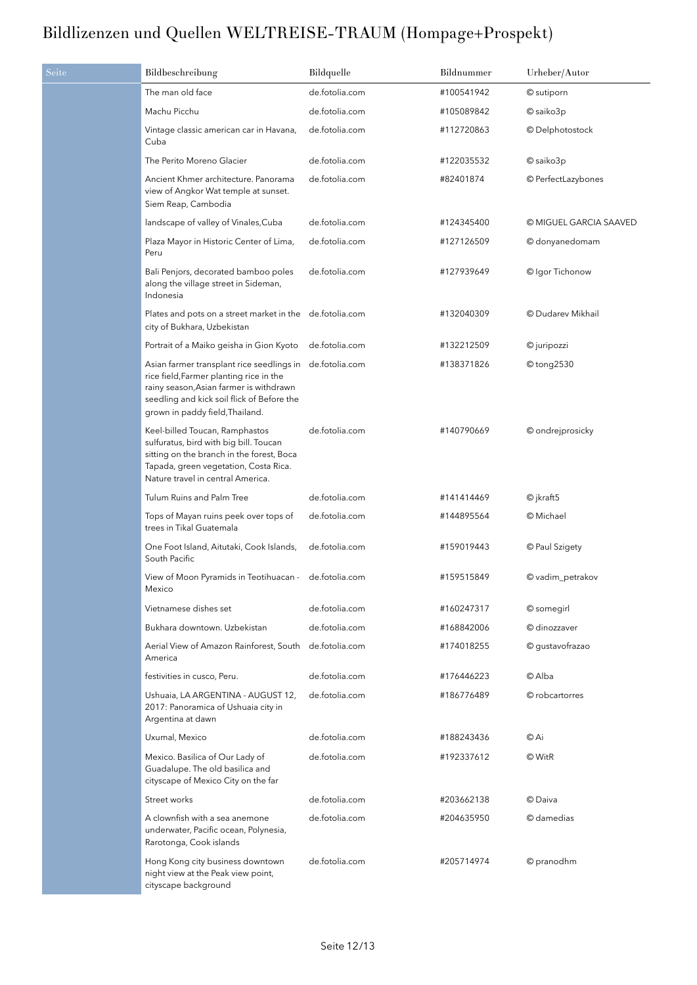| Seite | Bildbeschreibung                                                                                                                                                                                                 | Bildquelle     | Bildnummer | Urheber/Autor          |
|-------|------------------------------------------------------------------------------------------------------------------------------------------------------------------------------------------------------------------|----------------|------------|------------------------|
|       | The man old face                                                                                                                                                                                                 | de.fotolia.com | #100541942 | © sutiporn             |
|       | Machu Picchu                                                                                                                                                                                                     | de.fotolia.com | #105089842 | © saiko3p              |
|       | Vintage classic american car in Havana,<br>Cuba                                                                                                                                                                  | de.fotolia.com | #112720863 | © Delphotostock        |
|       | The Perito Moreno Glacier                                                                                                                                                                                        | de.fotolia.com | #122035532 | © saiko3p              |
|       | Ancient Khmer architecture. Panorama<br>view of Angkor Wat temple at sunset.<br>Siem Reap, Cambodia                                                                                                              | de.fotolia.com | #82401874  | © PerfectLazybones     |
|       | landscape of valley of Vinales, Cuba                                                                                                                                                                             | de.fotolia.com | #124345400 | © MIGUEL GARCIA SAAVED |
|       | Plaza Mayor in Historic Center of Lima,<br>Peru                                                                                                                                                                  | de.fotolia.com | #127126509 | © donyanedomam         |
|       | Bali Penjors, decorated bamboo poles<br>along the village street in Sideman,<br>Indonesia                                                                                                                        | de.fotolia.com | #127939649 | © Igor Tichonow        |
|       | Plates and pots on a street market in the de.fotolia.com<br>city of Bukhara, Uzbekistan                                                                                                                          |                | #132040309 | © Dudarev Mikhail      |
|       | Portrait of a Maiko geisha in Gion Kyoto                                                                                                                                                                         | de.fotolia.com | #132212509 | © juripozzi            |
|       | Asian farmer transplant rice seedlings in<br>rice field, Farmer planting rice in the<br>rainy season, Asian farmer is withdrawn<br>seedling and kick soil flick of Before the<br>grown in paddy field, Thailand. | de.fotolia.com | #138371826 | © tong2530             |
|       | Keel-billed Toucan, Ramphastos<br>sulfuratus, bird with big bill. Toucan<br>sitting on the branch in the forest, Boca<br>Tapada, green vegetation, Costa Rica.<br>Nature travel in central America.              | de.fotolia.com | #140790669 | © ondrejprosicky       |
|       | Tulum Ruins and Palm Tree                                                                                                                                                                                        | de.fotolia.com | #141414469 | $\odot$ jkraft5        |
|       | Tops of Mayan ruins peek over tops of<br>trees in Tikal Guatemala                                                                                                                                                | de.fotolia.com | #144895564 | © Michael              |
|       | One Foot Island, Aitutaki, Cook Islands,<br>South Pacific                                                                                                                                                        | de.fotolia.com | #159019443 | © Paul Szigety         |
|       | View of Moon Pyramids in Teotihuacan -<br>Mexico                                                                                                                                                                 | de.fotolia.com | #159515849 | © vadim_petrakov       |
|       | Vietnamese dishes set                                                                                                                                                                                            | de.fotolia.com | #160247317 | © somegirl             |
|       | Bukhara downtown. Uzbekistan                                                                                                                                                                                     | de.fotolia.com | #168842006 | © dinozzaver           |
|       | Aerial View of Amazon Rainforest, South<br>America                                                                                                                                                               | de.fotolia.com | #174018255 | © gustavofrazao        |
|       | festivities in cusco, Peru.                                                                                                                                                                                      | de.fotolia.com | #176446223 | © Alba                 |
|       | Ushuaia, LA ARGENTINA - AUGUST 12,<br>2017: Panoramica of Ushuaia city in<br>Argentina at dawn                                                                                                                   | de.fotolia.com | #186776489 | © robcartorres         |
|       | Uxumal, Mexico                                                                                                                                                                                                   | de.fotolia.com | #188243436 | © Ai                   |
|       | Mexico. Basilica of Our Lady of<br>Guadalupe. The old basilica and<br>cityscape of Mexico City on the far                                                                                                        | de.fotolia.com | #192337612 | © WitR                 |
|       | Street works                                                                                                                                                                                                     | de.fotolia.com | #203662138 | © Daiva                |
|       | A clownfish with a sea anemone<br>underwater, Pacific ocean, Polynesia,<br>Rarotonga, Cook islands                                                                                                               | de.fotolia.com | #204635950 | © damedias             |
|       | Hong Kong city business downtown<br>night view at the Peak view point,<br>cityscape background                                                                                                                   | de.fotolia.com | #205714974 | © pranodhm             |